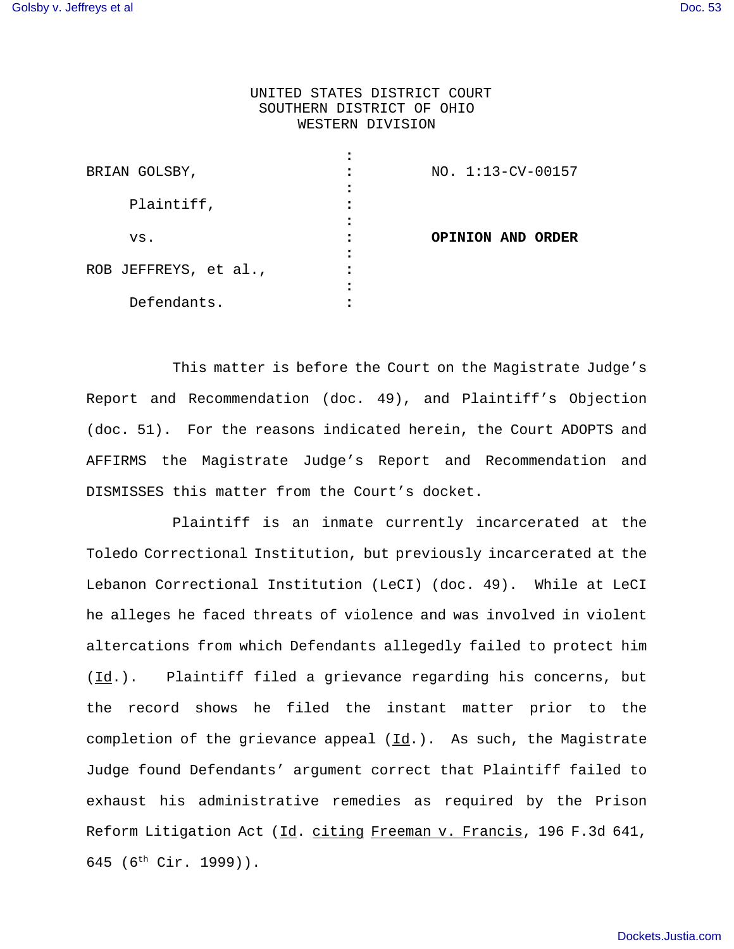## UNITED STATES DISTRICT COURT SOUTHERN DISTRICT OF OHIO WESTERN DIVISION

| BRIAN GOLSBY,         | NO. 1:13-CV-00157 |
|-----------------------|-------------------|
| Plaintiff,            |                   |
| VS.                   | OPINION AND ORDER |
| ROB JEFFREYS, et al., |                   |
| Defendants.           |                   |

This matter is before the Court on the Magistrate Judge's Report and Recommendation (doc. 49), and Plaintiff's Objection (doc. 51). For the reasons indicated herein, the Court ADOPTS and AFFIRMS the Magistrate Judge's Report and Recommendation and DISMISSES this matter from the Court's docket.

Plaintiff is an inmate currently incarcerated at the Toledo Correctional Institution, but previously incarcerated at the Lebanon Correctional Institution (LeCI) (doc. 49). While at LeCI he alleges he faced threats of violence and was involved in violent altercations from which Defendants allegedly failed to protect him  $(\underline{Id}.).$  Plaintiff filed a grievance regarding his concerns, but the record shows he filed the instant matter prior to the completion of the grievance appeal (Id.). As such, the Magistrate Judge found Defendants' argument correct that Plaintiff failed to exhaust his administrative remedies as required by the Prison Reform Litigation Act (Id. citing Freeman v. Francis, 196 F.3d 641, 645 (6th Cir. 1999)).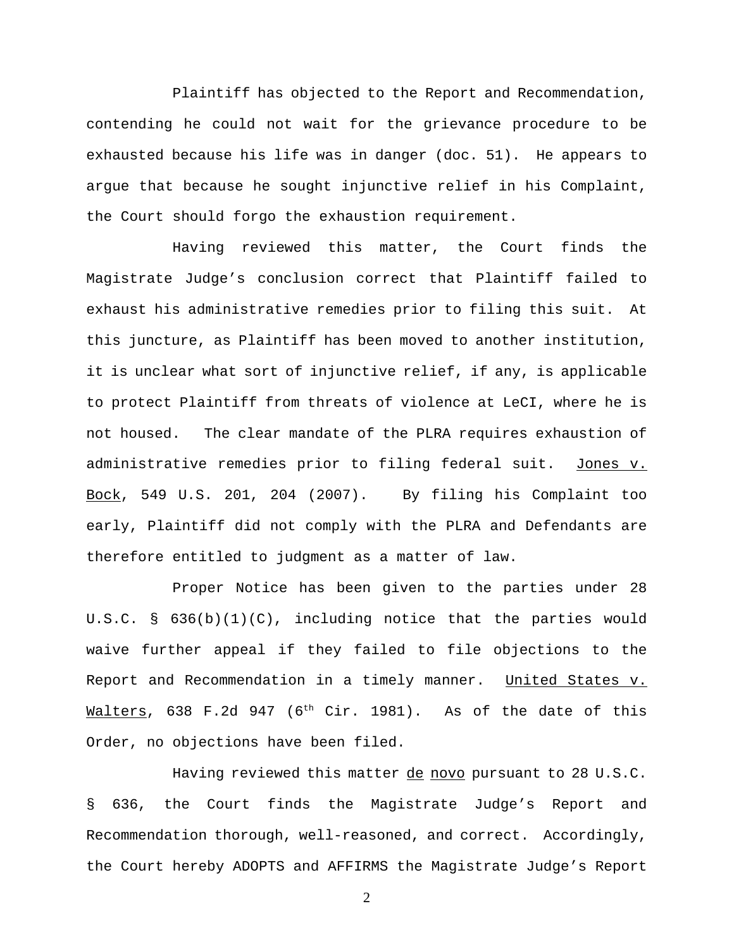Plaintiff has objected to the Report and Recommendation, contending he could not wait for the grievance procedure to be exhausted because his life was in danger (doc. 51). He appears to argue that because he sought injunctive relief in his Complaint, the Court should forgo the exhaustion requirement.

Having reviewed this matter, the Court finds the Magistrate Judge's conclusion correct that Plaintiff failed to exhaust his administrative remedies prior to filing this suit. At this juncture, as Plaintiff has been moved to another institution, it is unclear what sort of injunctive relief, if any, is applicable to protect Plaintiff from threats of violence at LeCI, where he is not housed. The clear mandate of the PLRA requires exhaustion of administrative remedies prior to filing federal suit. Jones v. Bock, 549 U.S. 201, 204 (2007). By filing his Complaint too early, Plaintiff did not comply with the PLRA and Defendants are therefore entitled to judgment as a matter of law.

Proper Notice has been given to the parties under 28 U.S.C. § 636(b)(1)(C), including notice that the parties would waive further appeal if they failed to file objections to the Report and Recommendation in a timely manner. United States v. Malters, 638 F.2d 947 (6<sup>th</sup> Cir. 1981). As of the date of this Order, no objections have been filed.

Having reviewed this matter de novo pursuant to 28 U.S.C. § 636, the Court finds the Magistrate Judge's Report and Recommendation thorough, well-reasoned, and correct. Accordingly, the Court hereby ADOPTS and AFFIRMS the Magistrate Judge's Report

2